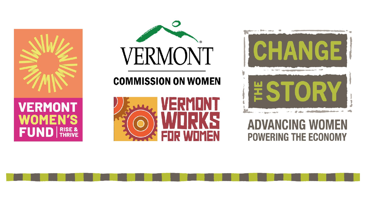





## **COMMISSION ON WOMEN**





# **ADVANCING WOMEN POWERING THE ECONOMY**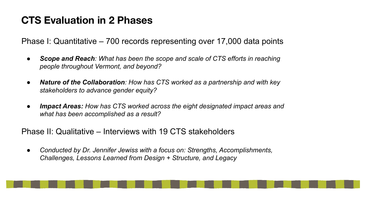### **CTS Evaluation in 2 Phases**

Phase I: Quantitative – 700 records representing over 17,000 data points

- **Scope and Reach**: What has been the scope and scale of CTS efforts in reaching *people throughout Vermont, and beyond?*
- *● Nature of the Collaboration: How has CTS worked as a partnership and with key stakeholders to advance gender equity?*
- *● Impact Areas: How has CTS worked across the eight designated impact areas and what has been accomplished as a result?*

Phase II: Qualitative – Interviews with 19 CTS stakeholders

*● Conducted by Dr. Jennifer Jewiss with a focus on: Strengths, Accomplishments, Challenges, Lessons Learned from Design + Structure, and Legacy*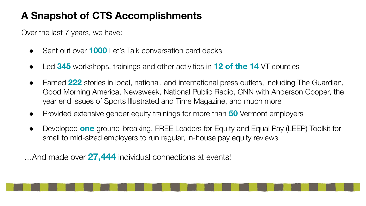## **A Snapshot of CTS Accomplishments**

Over the last 7 years, we have:

- Sent out over **1000** Let's Talk conversation card decks
- Led **345** workshops, trainings and other activities in **12 of the 14** VT counties
- Earned 222 stories in local, national, and international press outlets, including The Guardian, Good Morning America, Newsweek, National Public Radio, CNN with Anderson Cooper, the year end issues of Sports Illustrated and Time Magazine, and much more
- Provided extensive gender equity trainings for more than **50** Vermont employers
- Developed **one** ground-breaking, FREE Leaders for Equity and Equal Pay (LEEP) Toolkit for small to mid-sized employers to run regular, in-house pay equity reviews

…And made over **27,444** individual connections at events!

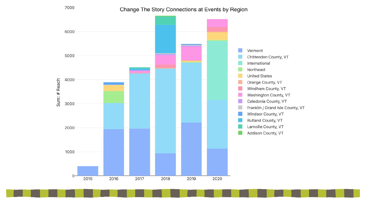

Change The Story Connections at Events by Region